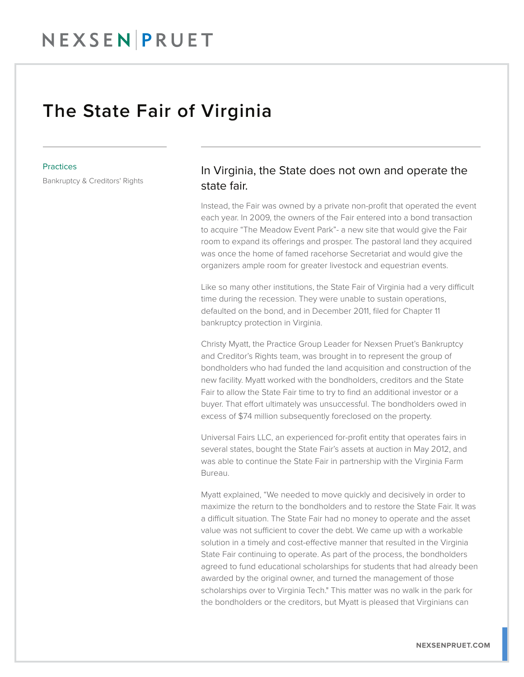## NEXSENPRUET

## The State Fair of Virginia

## **Practices**

Bankruptcy & Creditors' Rights

## In Virginia, the State does not own and operate the state fair.

Instead, the Fair was owned by a private non-profit that operated the event each year. In 2009, the owners of the Fair entered into a bond transaction to acquire "The Meadow Event Park"- a new site that would give the Fair room to expand its offerings and prosper. The pastoral land they acquired was once the home of famed racehorse Secretariat and would give the organizers ample room for greater livestock and equestrian events.

Like so many other institutions, the State Fair of Virginia had a very difficult time during the recession. They were unable to sustain operations, defaulted on the bond, and in December 2011, filed for Chapter 11 bankruptcy protection in Virginia.

Christy Myatt, the Practice Group Leader for Nexsen Pruet's Bankruptcy and Creditor's Rights team, was brought in to represent the group of bondholders who had funded the land acquisition and construction of the new facility. Myatt worked with the bondholders, creditors and the State Fair to allow the State Fair time to try to find an additional investor or a buyer. That effort ultimately was unsuccessful. The bondholders owed in excess of \$74 million subsequently foreclosed on the property.

Universal Fairs LLC, an experienced for-profit entity that operates fairs in several states, bought the State Fair's assets at auction in May 2012, and was able to continue the State Fair in partnership with the Virginia Farm Bureau.

Myatt explained, "We needed to move quickly and decisively in order to maximize the return to the bondholders and to restore the State Fair. It was a difficult situation. The State Fair had no money to operate and the asset value was not sufficient to cover the debt. We came up with a workable solution in a timely and cost-effective manner that resulted in the Virginia State Fair continuing to operate. As part of the process, the bondholders agreed to fund educational scholarships for students that had already been awarded by the original owner, and turned the management of those scholarships over to Virginia Tech." This matter was no walk in the park for the bondholders or the creditors, but Myatt is pleased that Virginians can